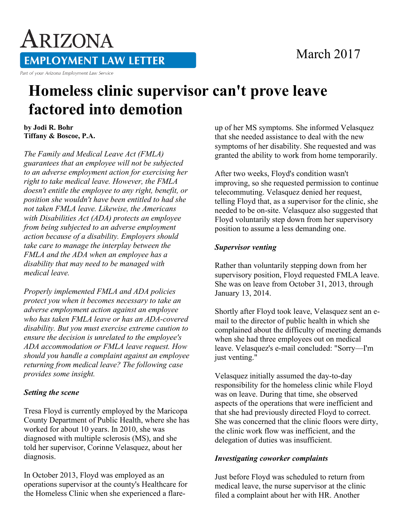### March 2017

# ARIZONA **EMPLOYMENT LAW LETTER**

Part of your Arizona Employment Law Service

## **Homeless clinic supervisor can't prove leave factored into demotion**

**by Jodi R. Bohr Tiffany & Boscoe, P.A.**

*The Family and Medical Leave Act (FMLA) guarantees that an employee will not be subjected to an adverse employment action for exercising her right to take medical leave. However, the FMLA doesn't entitle the employee to any right, benefit, or position she wouldn't have been entitled to had she not taken FMLA leave. Likewise, the Americans with Disabilities Act (ADA) protects an employee from being subjected to an adverse employment action because of a disability. Employers should take care to manage the interplay between the FMLA and the ADA when an employee has a disability that may need to be managed with medical leave.*

*Properly implemented FMLA and ADA policies protect you when it becomes necessary to take an adverse employment action against an employee who has taken FMLA leave or has an ADA-covered disability. But you must exercise extreme caution to ensure the decision is unrelated to the employee's ADA accommodation or FMLA leave request. How should you handle a complaint against an employee returning from medical leave? The following case provides some insight.*

#### *Setting the scene*

Tresa Floyd is currently employed by the Maricopa County Department of Public Health, where she has worked for about 10 years. In 2010, she was diagnosed with multiple sclerosis (MS), and she told her supervisor, Corinne Velasquez, about her diagnosis.

In October 2013, Floyd was employed as an operations supervisor at the county's Healthcare for the Homeless Clinic when she experienced a flareup of her MS symptoms. She informed Velasquez that she needed assistance to deal with the new symptoms of her disability. She requested and was granted the ability to work from home temporarily.

After two weeks, Floyd's condition wasn't improving, so she requested permission to continue telecommuting. Velasquez denied her request, telling Floyd that, as a supervisor for the clinic, she needed to be on-site. Velasquez also suggested that Floyd voluntarily step down from her supervisory position to assume a less demanding one.

#### *Supervisor venting*

Rather than voluntarily stepping down from her supervisory position, Floyd requested FMLA leave. She was on leave from October 31, 2013, through January 13, 2014.

Shortly after Floyd took leave, Velasquez sent an email to the director of public health in which she complained about the difficulty of meeting demands when she had three employees out on medical leave. Velasquez's e-mail concluded: "Sorry—I'm just venting."

Velasquez initially assumed the day-to-day responsibility for the homeless clinic while Floyd was on leave. During that time, she observed aspects of the operations that were inefficient and that she had previously directed Floyd to correct. She was concerned that the clinic floors were dirty, the clinic work flow was inefficient, and the delegation of duties was insufficient.

#### *Investigating coworker complaints*

Just before Floyd was scheduled to return from medical leave, the nurse supervisor at the clinic filed a complaint about her with HR. Another